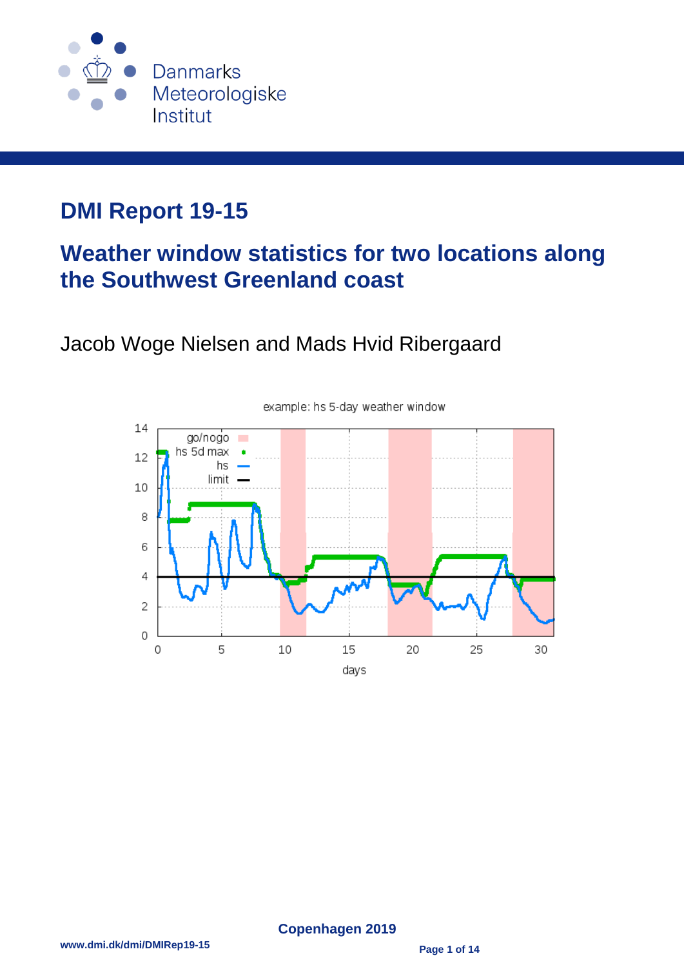

# **DMI Report 19-15**

# **Weather window statistics for two locations along the Southwest Greenland coast**

## Jacob Woge Nielsen and Mads Hvid Ribergaard



#### example: hs 5-day weather window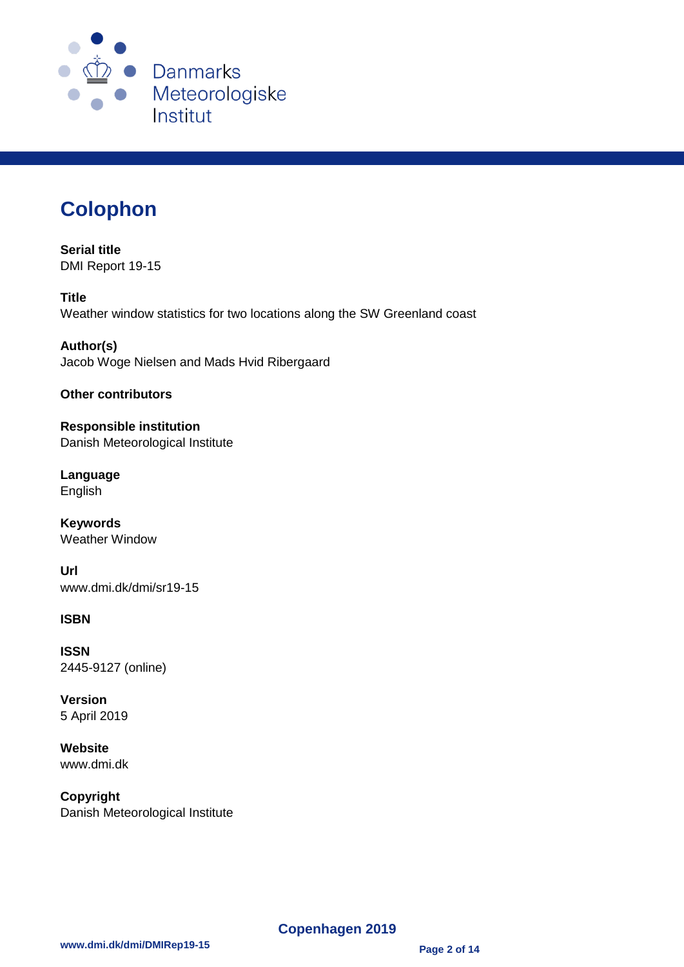

# **Colophon**

**Serial title** DMI Report 19-15

**Title** Weather window statistics for two locations along the SW Greenland coast

**Author(s)** Jacob Woge Nielsen and Mads Hvid Ribergaard

**Other contributors**

**Responsible institution** Danish Meteorological Institute

**Language** English

**Keywords** Weather Window

**Url** www.dmi.dk/dmi/sr19-15

#### **ISBN**

**ISSN** 2445-9127 (online)

**Version** 5 April 2019

**Website** www.dmi.dk

**Copyright** Danish Meteorological Institute

**Copenhagen 2019**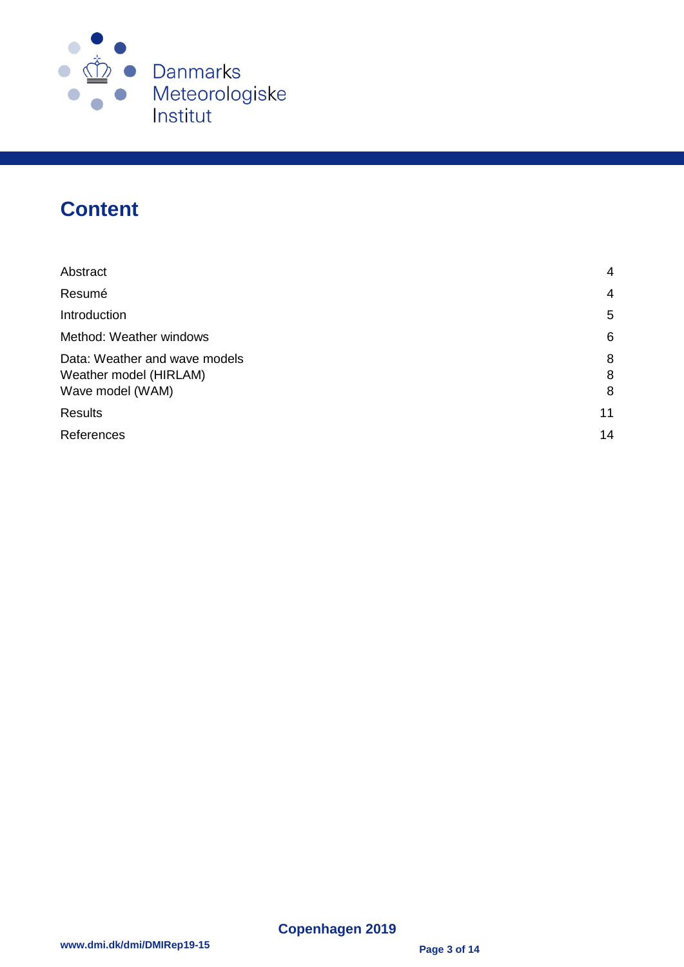

## **Content**

| Abstract                                                                    | 4           |
|-----------------------------------------------------------------------------|-------------|
| Resumé                                                                      | 4           |
| Introduction                                                                | 5           |
| Method: Weather windows                                                     | 6           |
| Data: Weather and wave models<br>Weather model (HIRLAM)<br>Wave model (WAM) | 8<br>8<br>8 |
| <b>Results</b>                                                              | 11          |
| References                                                                  | 14          |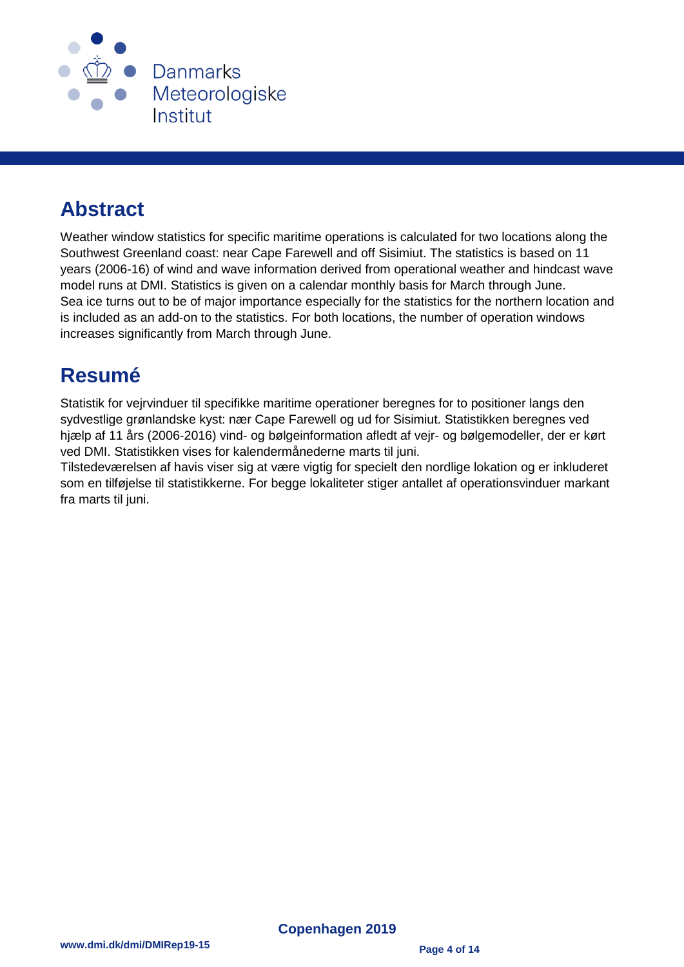

# <span id="page-3-0"></span>**Abstract**

Weather window statistics for specific maritime operations is calculated for two locations along the Southwest Greenland coast: near Cape Farewell and off Sisimiut. The statistics is based on 11 years (2006-16) of wind and wave information derived from operational weather and hindcast wave model runs at DMI. Statistics is given on a calendar monthly basis for March through June. Sea ice turns out to be of major importance especially for the statistics for the northern location and is included as an add-on to the statistics. For both locations, the number of operation windows increases significantly from March through June.

### <span id="page-3-1"></span>**Resumé**

Statistik for vejrvinduer til specifikke maritime operationer beregnes for to positioner langs den sydvestlige grønlandske kyst: nær Cape Farewell og ud for Sisimiut. Statistikken beregnes ved hjælp af 11 års (2006-2016) vind- og bølgeinformation afledt af vejr- og bølgemodeller, der er kørt ved DMI. Statistikken vises for kalendermånederne marts til juni.

Tilstedeværelsen af havis viser sig at være vigtig for specielt den nordlige lokation og er inkluderet som en tilføjelse til statistikkerne. For begge lokaliteter stiger antallet af operationsvinduer markant fra marts til juni.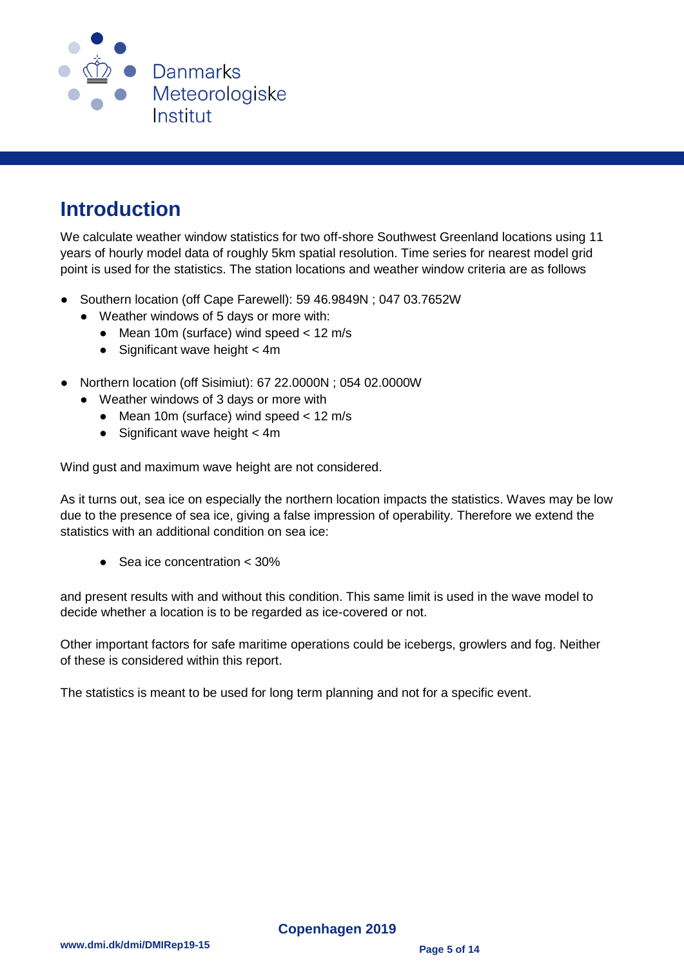

## <span id="page-4-0"></span>**Introduction**

We calculate weather window statistics for two off-shore Southwest Greenland locations using 11 years of hourly model data of roughly 5km spatial resolution. Time series for nearest model grid point is used for the statistics. The station locations and weather window criteria are as follows

- Southern location (off Cape Farewell): 59 46.9849N : 047 03.7652W
	- Weather windows of 5 days or more with:
		- $\bullet$  Mean 10m (surface) wind speed < 12 m/s
		- $\bullet$  Significant wave height  $<$  4m
- Northern location (off Sisimiut): 67 22.0000N ; 054 02.0000W
	- Weather windows of 3 days or more with
		- Mean 10m (surface) wind speed < 12 m/s
		- $\bullet$  Significant wave height  $<$  4m

Wind gust and maximum wave height are not considered.

As it turns out, sea ice on especially the northern location impacts the statistics. Waves may be low due to the presence of sea ice, giving a false impression of operability. Therefore we extend the statistics with an additional condition on sea ice:

● Sea ice concentration < 30%

and present results with and without this condition. This same limit is used in the wave model to decide whether a location is to be regarded as ice-covered or not.

Other important factors for safe maritime operations could be icebergs, growlers and fog. Neither of these is considered within this report.

The statistics is meant to be used for long term planning and not for a specific event.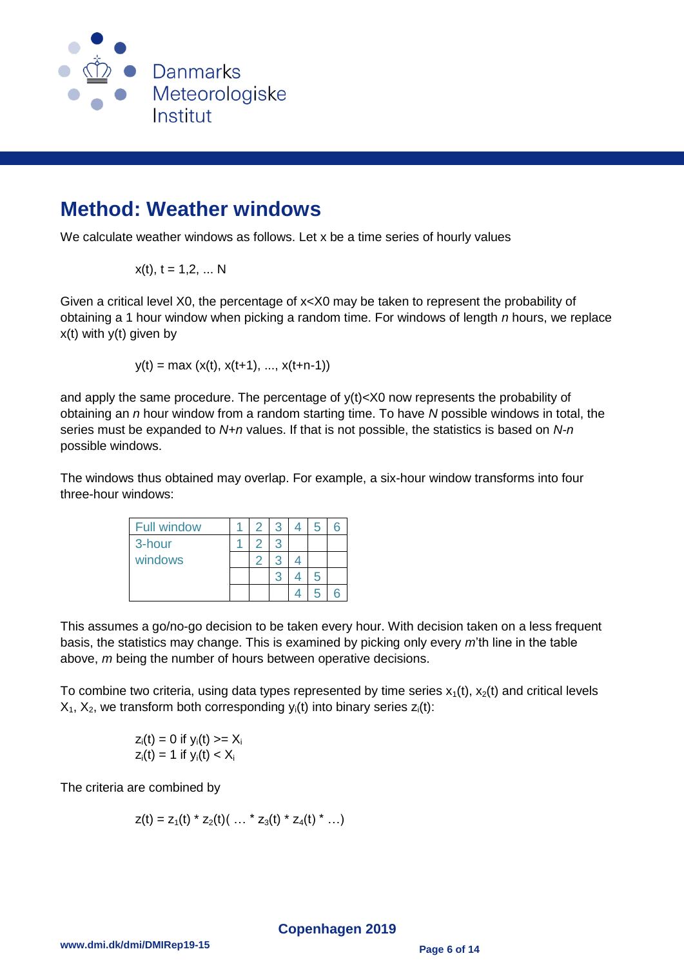

#### <span id="page-5-0"></span>**Method: Weather windows**

We calculate weather windows as follows. Let x be a time series of hourly values

$$
x(t), t = 1, 2, ... N
$$

Given a critical level X0, the percentage of x<X0 may be taken to represent the probability of obtaining a 1 hour window when picking a random time. For windows of length *n* hours, we replace  $x(t)$  with  $y(t)$  given by

$$
y(t) = max(x(t), x(t+1), ..., x(t+n-1))
$$

and apply the same procedure. The percentage of y(t)<X0 now represents the probability of obtaining an *n* hour window from a random starting time. To have *N* possible windows in total, the series must be expanded to *N+n* values. If that is not possible, the statistics is based on *N-n* possible windows.

The windows thus obtained may overlap. For example, a six-hour window transforms into four three-hour windows:

| <b>Full window</b> |  |  | 5 |  |
|--------------------|--|--|---|--|
| 3-hour             |  |  |   |  |
| windows            |  |  |   |  |
|                    |  |  | 5 |  |
|                    |  |  |   |  |

This assumes a go/no-go decision to be taken every hour. With decision taken on a less frequent basis, the statistics may change. This is examined by picking only every *m*'th line in the table above, *m* being the number of hours between operative decisions.

To combine two criteria, using data types represented by time series  $x_1(t)$ ,  $x_2(t)$  and critical levels  $X_1$ ,  $X_2$ , we transform both corresponding y<sub>i</sub>(t) into binary series  $z_i(t)$ :

$$
z_i(t) = 0 \text{ if } y_i(t) >= X_i
$$
\n
$$
z_i(t) = 1 \text{ if } y_i(t) < X_i
$$

The criteria are combined by

$$
z(t) = z_1(t) * z_2(t) ( ... * z_3(t) * z_4(t) * ... )
$$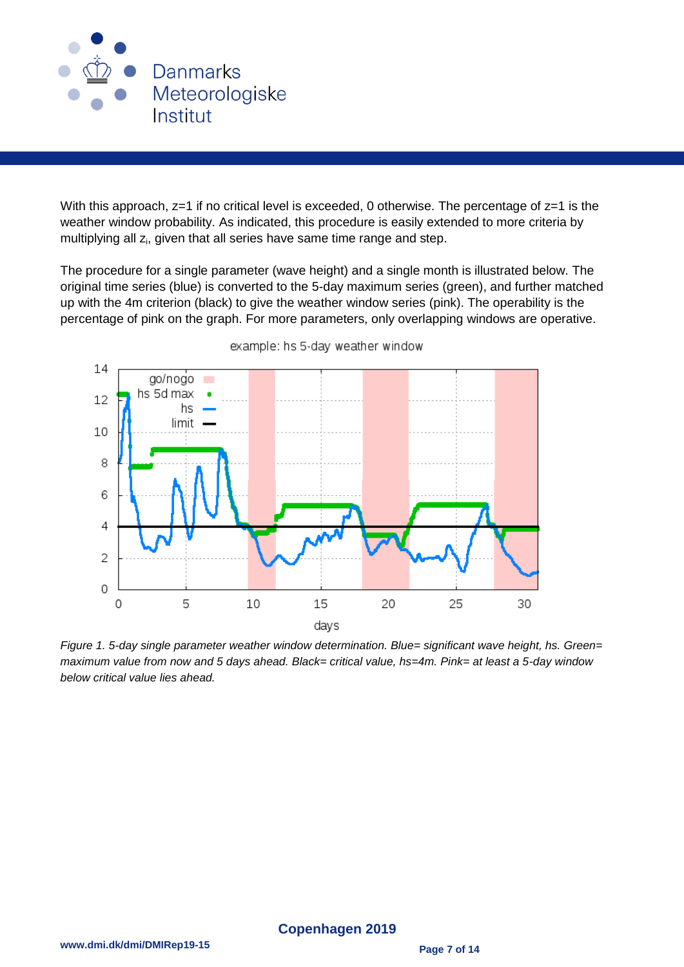

With this approach,  $z=1$  if no critical level is exceeded, 0 otherwise. The percentage of  $z=1$  is the weather window probability. As indicated, this procedure is easily extended to more criteria by multiplying all z<sub>i</sub>, given that all series have same time range and step.

The procedure for a single parameter (wave height) and a single month is illustrated below. The original time series (blue) is converted to the 5-day maximum series (green), and further matched up with the 4m criterion (black) to give the weather window series (pink). The operability is the percentage of pink on the graph. For more parameters, only overlapping windows are operative.



example: hs 5-day weather window

*Figure 1. 5-day single parameter weather window determination. Blue= significant wave height, hs. Green= maximum value from now and 5 days ahead. Black= critical value, hs=4m. Pink= at least a 5-day window below critical value lies ahead.*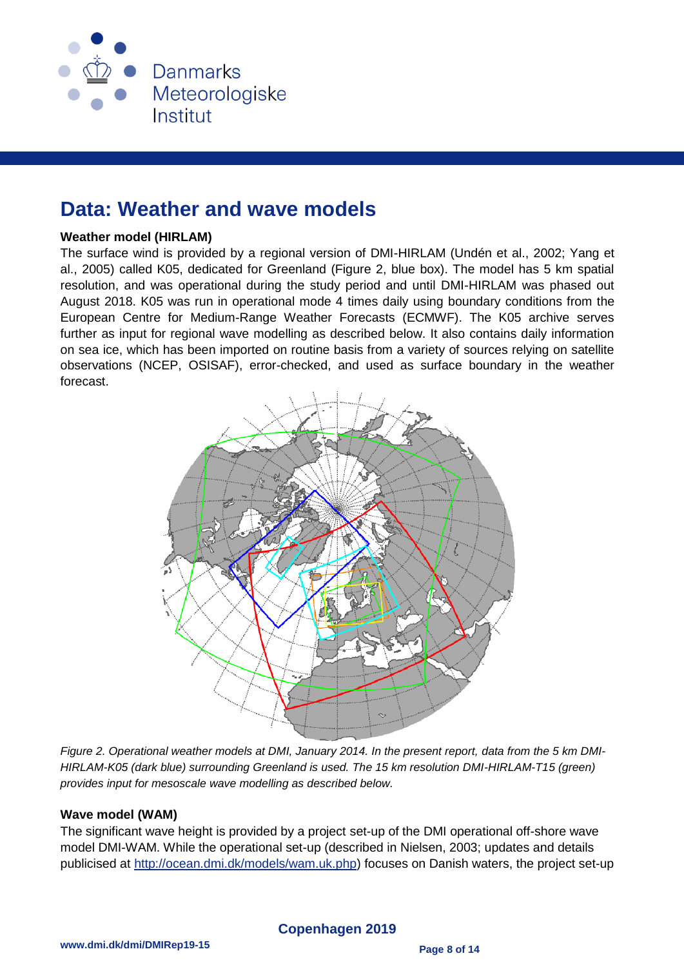

#### <span id="page-7-0"></span>**Data: Weather and wave models**

#### <span id="page-7-1"></span>**Weather model (HIRLAM)**

The surface wind is provided by a regional version of DMI-HIRLAM (Undén et al., 2002; Yang et al., 2005) called K05, dedicated for Greenland (Figure 2, blue box). The model has 5 km spatial resolution, and was operational during the study period and until DMI-HIRLAM was phased out August 2018. K05 was run in operational mode 4 times daily using boundary conditions from the European Centre for Medium-Range Weather Forecasts (ECMWF). The K05 archive serves further as input for regional wave modelling as described below. It also contains daily information on sea ice, which has been imported on routine basis from a variety of sources relying on satellite observations (NCEP, OSISAF), error-checked, and used as surface boundary in the weather forecast.



*Figure 2. Operational weather models at DMI, January 2014. In the present report, data from the 5 km DMI-HIRLAM-K05 (dark blue) surrounding Greenland is used. The 15 km resolution DMI-HIRLAM-T15 (green) provides input for mesoscale wave modelling as described below.*

#### <span id="page-7-2"></span>**Wave model (WAM)**

The significant wave height is provided by a project set-up of the DMI operational off-shore wave model DMI-WAM. While the operational set-up (described in Nielsen, 2003; updates and details publicised at [http://ocean.dmi.dk/models/wam.uk.php\)](http://ocean.dmi.dk/models/wam.uk.php) focuses on Danish waters, the project set-up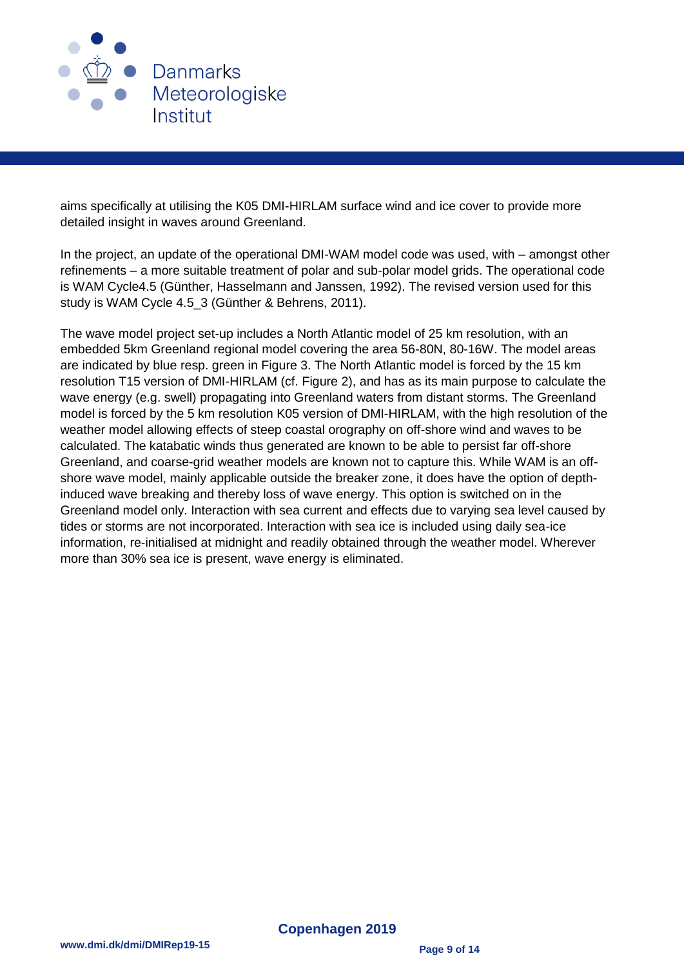

aims specifically at utilising the K05 DMI-HIRLAM surface wind and ice cover to provide more detailed insight in waves around Greenland.

In the project, an update of the operational DMI-WAM model code was used, with – amongst other refinements – a more suitable treatment of polar and sub-polar model grids. The operational code is WAM Cycle4.5 (Günther, Hasselmann and Janssen, 1992). The revised version used for this study is WAM Cycle 4.5\_3 (Günther & Behrens, 2011).

The wave model project set-up includes a North Atlantic model of 25 km resolution, with an embedded 5km Greenland regional model covering the area 56-80N, 80-16W. The model areas are indicated by blue resp. green in Figure 3. The North Atlantic model is forced by the 15 km resolution T15 version of DMI-HIRLAM (cf. Figure 2), and has as its main purpose to calculate the wave energy (e.g. swell) propagating into Greenland waters from distant storms. The Greenland model is forced by the 5 km resolution K05 version of DMI-HIRLAM, with the high resolution of the weather model allowing effects of steep coastal orography on off-shore wind and waves to be calculated. The katabatic winds thus generated are known to be able to persist far off-shore Greenland, and coarse-grid weather models are known not to capture this. While WAM is an offshore wave model, mainly applicable outside the breaker zone, it does have the option of depthinduced wave breaking and thereby loss of wave energy. This option is switched on in the Greenland model only. Interaction with sea current and effects due to varying sea level caused by tides or storms are not incorporated. Interaction with sea ice is included using daily sea-ice information, re-initialised at midnight and readily obtained through the weather model. Wherever more than 30% sea ice is present, wave energy is eliminated.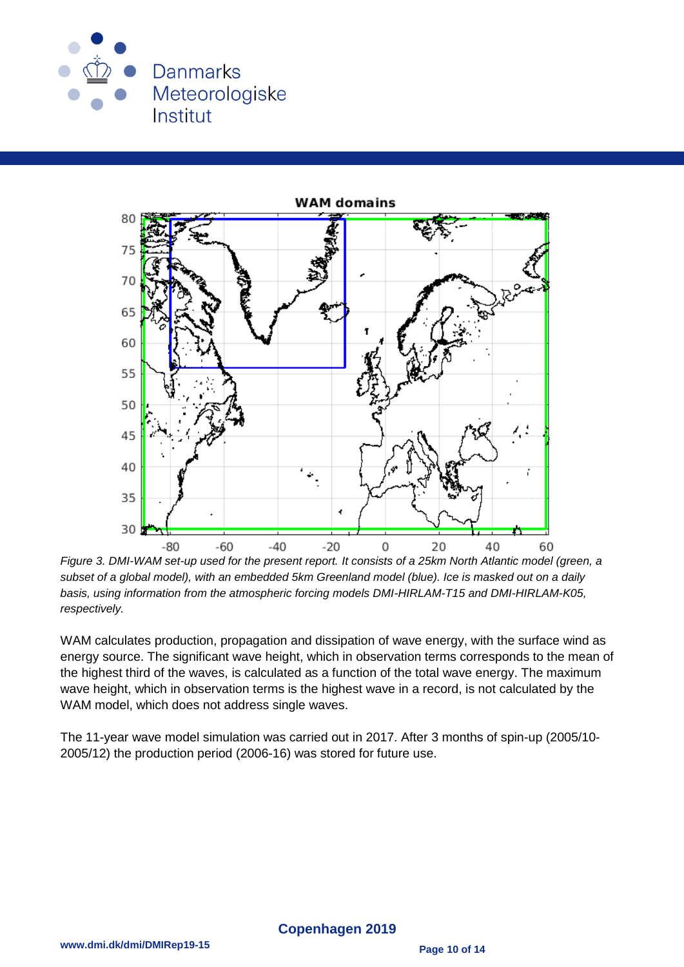



*Figure 3. DMI-WAM set-up used for the present report. It consists of a 25km North Atlantic model (green, a subset of a global model), with an embedded 5km Greenland model (blue). Ice is masked out on a daily basis, using information from the atmospheric forcing models DMI-HIRLAM-T15 and DMI-HIRLAM-K05, respectively.*

WAM calculates production, propagation and dissipation of wave energy, with the surface wind as energy source. The significant wave height, which in observation terms corresponds to the mean of the highest third of the waves, is calculated as a function of the total wave energy. The maximum wave height, which in observation terms is the highest wave in a record, is not calculated by the WAM model, which does not address single waves.

The 11-year wave model simulation was carried out in 2017. After 3 months of spin-up (2005/10- 2005/12) the production period (2006-16) was stored for future use.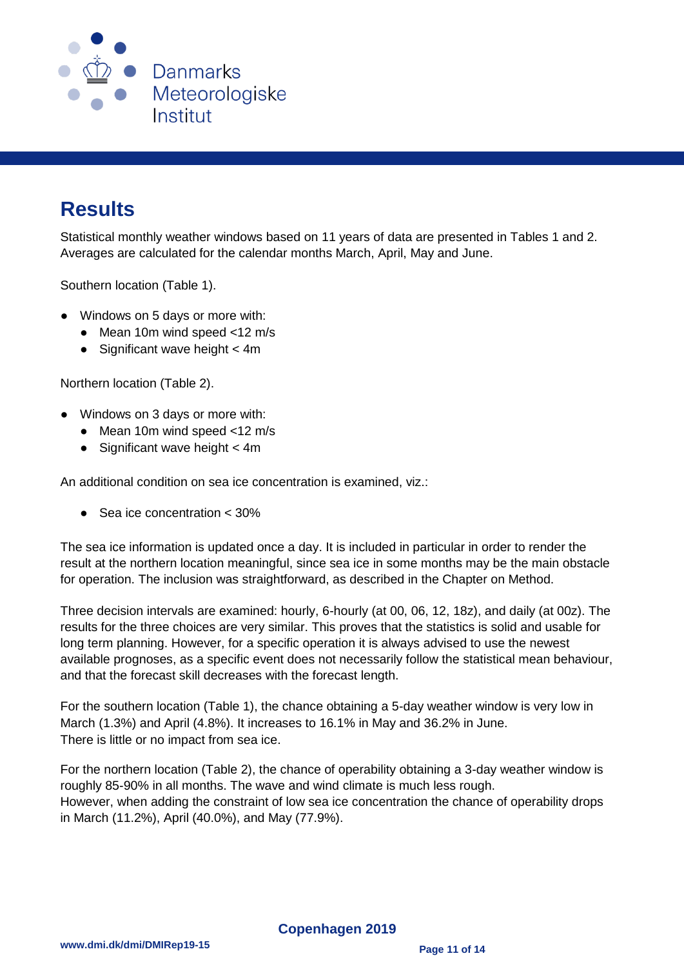

### <span id="page-10-0"></span>**Results**

Statistical monthly weather windows based on 11 years of data are presented in Tables 1 and 2. Averages are calculated for the calendar months March, April, May and June.

Southern location (Table 1).

- Windows on 5 days or more with:
	- Mean 10m wind speed <12 m/s
	- $\bullet$  Significant wave height  $<$  4m

Northern location (Table 2).

- Windows on 3 days or more with:
	- Mean 10m wind speed  $<$ 12 m/s
	- $\bullet$  Significant wave height  $<$  4m

An additional condition on sea ice concentration is examined, viz.:

Sea ice concentration < 30%

The sea ice information is updated once a day. It is included in particular in order to render the result at the northern location meaningful, since sea ice in some months may be the main obstacle for operation. The inclusion was straightforward, as described in the Chapter on Method.

Three decision intervals are examined: hourly, 6-hourly (at 00, 06, 12, 18z), and daily (at 00z). The results for the three choices are very similar. This proves that the statistics is solid and usable for long term planning. However, for a specific operation it is always advised to use the newest available prognoses, as a specific event does not necessarily follow the statistical mean behaviour, and that the forecast skill decreases with the forecast length.

For the southern location (Table 1), the chance obtaining a 5-day weather window is very low in March (1.3%) and April (4.8%). It increases to 16.1% in May and 36.2% in June. There is little or no impact from sea ice.

For the northern location (Table 2), the chance of operability obtaining a 3-day weather window is roughly 85-90% in all months. The wave and wind climate is much less rough. However, when adding the constraint of low sea ice concentration the chance of operability drops in March (11.2%), April (40.0%), and May (77.9%).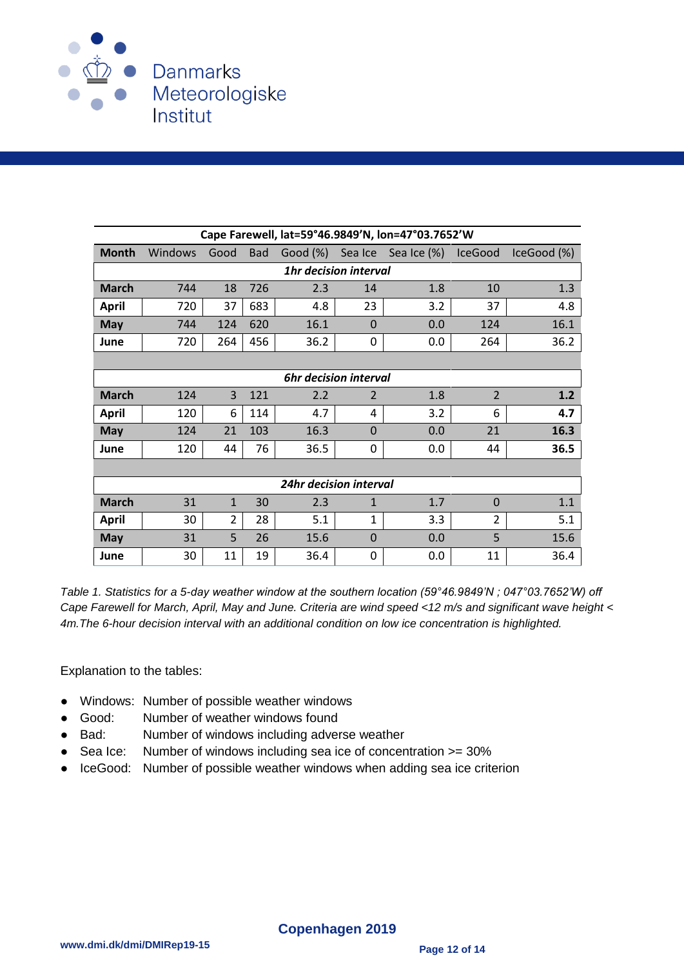

| Cape Farewell, lat=59°46.9849'N, lon=47°03.7652'W |                |                |            |          |                |                     |                |             |  |  |
|---------------------------------------------------|----------------|----------------|------------|----------|----------------|---------------------|----------------|-------------|--|--|
| <b>Month</b>                                      | <b>Windows</b> | Good           | <b>Bad</b> | Good (%) |                | Sea Ice Sea Ice (%) | <b>IceGood</b> | IceGood (%) |  |  |
| <b>1hr decision interval</b>                      |                |                |            |          |                |                     |                |             |  |  |
| <b>March</b>                                      | 744            | 18             | 726        | 2.3      | 14             | 1.8                 | 10             | 1.3         |  |  |
| <b>April</b>                                      | 720            | 37             | 683        | 4.8      | 23             | 3.2                 | 37             | 4.8         |  |  |
| <b>May</b>                                        | 744            | 124            | 620        | 16.1     | $\Omega$       | 0.0                 | 124            | 16.1        |  |  |
| June                                              | 720            | 264            | 456        | 36.2     | 0              | 0.0                 | 264            | 36.2        |  |  |
|                                                   |                |                |            |          |                |                     |                |             |  |  |
| <b>6hr decision interval</b>                      |                |                |            |          |                |                     |                |             |  |  |
| <b>March</b>                                      | 124            | 3              | 121        | 2.2      | $\overline{2}$ | 1.8                 | $\overline{2}$ | 1.2         |  |  |
| <b>April</b>                                      | 120            | 6              | 114        | 4.7      | 4              | 3.2                 | 6              | 4.7         |  |  |
| <b>May</b>                                        | 124            | 21             | 103        | 16.3     | $\Omega$       | 0.0                 | 21             | 16.3        |  |  |
| June                                              | 120            | 44             | 76         | 36.5     | 0              | 0.0                 | 44             | 36.5        |  |  |
|                                                   |                |                |            |          |                |                     |                |             |  |  |
| 24hr decision interval                            |                |                |            |          |                |                     |                |             |  |  |
| <b>March</b>                                      | 31             | $\mathbf{1}$   | 30         | 2.3      | $\mathbf{1}$   | 1.7                 | $\Omega$       | 1.1         |  |  |
| <b>April</b>                                      | 30             | $\overline{2}$ | 28         | 5.1      | 1              | 3.3                 | 2              | 5.1         |  |  |
| <b>May</b>                                        | 31             | 5              | 26         | 15.6     | $\overline{0}$ | 0.0                 | 5              | 15.6        |  |  |
| June                                              | 30             | 11             | 19         | 36.4     | 0              | 0.0                 | 11             | 36.4        |  |  |

*Table 1. Statistics for a 5-day weather window at the southern location (59°46.9849'N ; 047°03.7652'W) off Cape Farewell for March, April, May and June. Criteria are wind speed <12 m/s and significant wave height < 4m.The 6-hour decision interval with an additional condition on low ice concentration is highlighted.*

Explanation to the tables:

- Windows: Number of possible weather windows
- Good: Number of weather windows found
- Bad: Number of windows including adverse weather
- Sea Ice: Number of windows including sea ice of concentration >= 30%
- IceGood: Number of possible weather windows when adding sea ice criterion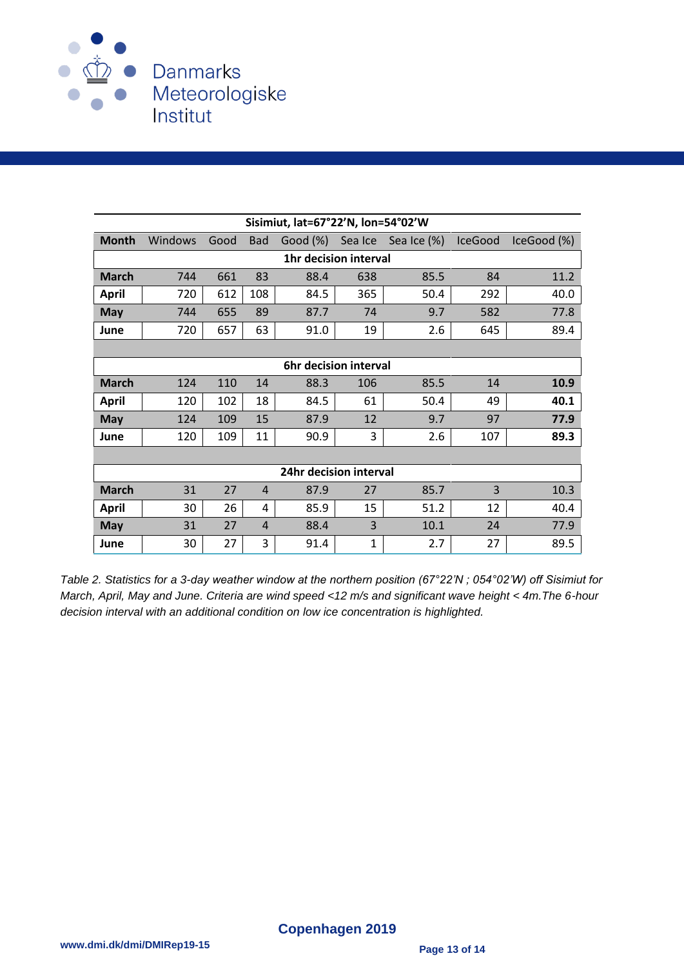

| Sisimiut, lat=67°22'N, lon=54°02'W |         |      |                |          |         |             |                |             |  |  |
|------------------------------------|---------|------|----------------|----------|---------|-------------|----------------|-------------|--|--|
| <b>Month</b>                       | Windows | Good | <b>Bad</b>     | Good (%) | Sea Ice | Sea Ice (%) | <b>IceGood</b> | IceGood (%) |  |  |
| <b>1hr decision interval</b>       |         |      |                |          |         |             |                |             |  |  |
| <b>March</b>                       | 744     | 661  | 83             | 88.4     | 638     | 85.5        | 84             | 11.2        |  |  |
| April                              | 720     | 612  | 108            | 84.5     | 365     | 50.4        | 292            | 40.0        |  |  |
| <b>May</b>                         | 744     | 655  | 89             | 87.7     | 74      | 9.7         | 582            | 77.8        |  |  |
| June                               | 720     | 657  | 63             | 91.0     | 19      | 2.6         | 645            | 89.4        |  |  |
|                                    |         |      |                |          |         |             |                |             |  |  |
| 6hr decision interval              |         |      |                |          |         |             |                |             |  |  |
| <b>March</b>                       | 124     | 110  | 14             | 88.3     | 106     | 85.5        | 14             | 10.9        |  |  |
| <b>April</b>                       | 120     | 102  | 18             | 84.5     | 61      | 50.4        | 49             | 40.1        |  |  |
| <b>May</b>                         | 124     | 109  | 15             | 87.9     | 12      | 9.7         | 97             | 77.9        |  |  |
| June                               | 120     | 109  | 11             | 90.9     | 3       | 2.6         | 107            | 89.3        |  |  |
|                                    |         |      |                |          |         |             |                |             |  |  |
| 24hr decision interval             |         |      |                |          |         |             |                |             |  |  |
| <b>March</b>                       | 31      | 27   | $\overline{4}$ | 87.9     | 27      | 85.7        | 3              | 10.3        |  |  |
| <b>April</b>                       | 30      | 26   | 4              | 85.9     | 15      | 51.2        | 12             | 40.4        |  |  |
| <b>May</b>                         | 31      | 27   | 4              | 88.4     | 3       | 10.1        | 24             | 77.9        |  |  |
| June                               | 30      | 27   | 3              | 91.4     | 1       | 2.7         | 27             | 89.5        |  |  |

*Table 2. Statistics for a 3-day weather window at the northern position (67°22'N ; 054°02'W) off Sisimiut for March, April, May and June. Criteria are wind speed <12 m/s and significant wave height < 4m.The 6-hour decision interval with an additional condition on low ice concentration is highlighted.*